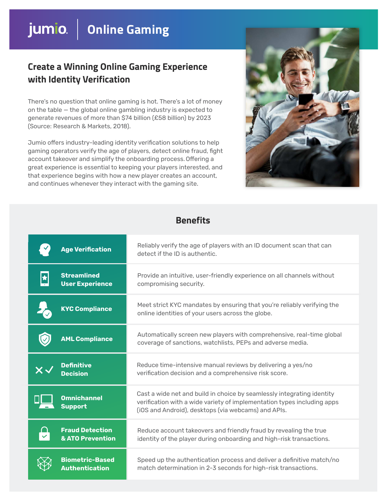# jumio. | Online Gaming

### **Create a Winning Online Gaming Experience with Identity Verification**

There's no question that online gaming is hot. There's a lot of money on the table — the global online gambling industry is expected to generate revenues of more than \$74 billion (£58 billion) by 2023 (Source: Research & Markets, 2018).

Jumio offers industry-leading identity verification solutions to help gaming operators verify the age of players, detect online fraud, fight account takeover and simplify the onboarding process. Offering a great experience is essential to keeping your players interested, and that experience begins with how a new player creates an account, and continues whenever they interact with the gaming site.



#### **Benefits**

|                       | <b>Age Verification</b>                         | Reliably verify the age of players with an ID document scan that can<br>detect if the ID is authentic.                                                                                                   |
|-----------------------|-------------------------------------------------|----------------------------------------------------------------------------------------------------------------------------------------------------------------------------------------------------------|
| $\blacktriangleright$ | <b>Streamlined</b><br><b>User Experience</b>    | Provide an intuitive, user-friendly experience on all channels without<br>compromising security.                                                                                                         |
|                       | <b>KYC Compliance</b>                           | Meet strict KYC mandates by ensuring that you're reliably verifying the<br>online identities of your users across the globe.                                                                             |
|                       | <b>AML Compliance</b>                           | Automatically screen new players with comprehensive, real-time global<br>coverage of sanctions, watchlists, PEPs and adverse media.                                                                      |
|                       | <b>Definitive</b><br><b>Decision</b>            | Reduce time-intensive manual reviews by delivering a yes/no<br>verification decision and a comprehensive risk score.                                                                                     |
|                       | <b>Omnichannel</b><br><b>Support</b>            | Cast a wide net and build in choice by seamlessly integrating identity<br>verification with a wide variety of implementation types including apps<br>(iOS and Android), desktops (via webcams) and APIs. |
|                       | <b>Fraud Detection</b><br>& ATO Prevention      | Reduce account takeovers and friendly fraud by revealing the true<br>identity of the player during onboarding and high-risk transactions.                                                                |
|                       | <b>Biometric-Based</b><br><b>Authentication</b> | Speed up the authentication process and deliver a definitive match/no<br>match determination in 2-3 seconds for high-risk transactions.                                                                  |